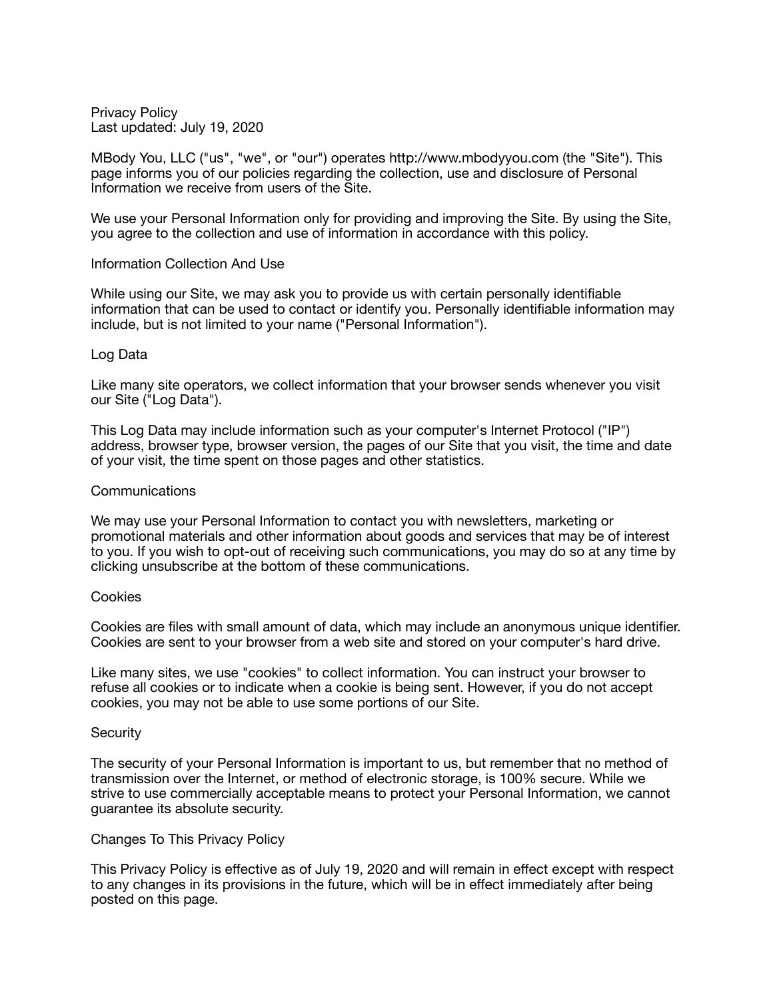Privacy Policy Last updated: July 19, 2020

MBody You, LLC ("us", "we", or "our") operates http://www.mbodyyou.com (the "Site"). This page informs you of our policies regarding the collection, use and disclosure of Personal Information we receive from users of the Site.

We use your Personal Information only for providing and improving the Site. By using the Site, you agree to the collection and use of information in accordance with this policy.

# Information Collection And Use

While using our Site, we may ask you to provide us with certain personally identifiable information that can be used to contact or identify you. Personally identifiable information may include, but is not limited to your name ("Personal Information").

# Log Data

Like many site operators, we collect information that your browser sends whenever you visit our Site ("Log Data").

This Log Data may include information such as your computer's Internet Protocol ("IP") address, browser type, browser version, the pages of our Site that you visit, the time and date of your visit, the time spent on those pages and other statistics.

# Communications

We may use your Personal Information to contact you with newsletters, marketing or promotional materials and other information about goods and services that may be of interest to you. If you wish to opt-out of receiving such communications, you may do so at any time by clicking unsubscribe at the bottom of these communications.

# **Cookies**

Cookies are files with small amount of data, which may include an anonymous unique identifier. Cookies are sent to your browser from a web site and stored on your computer's hard drive.

Like many sites, we use "cookies" to collect information. You can instruct your browser to refuse all cookies or to indicate when a cookie is being sent. However, if you do not accept cookies, you may not be able to use some portions of our Site.

# **Security**

The security of your Personal Information is important to us, but remember that no method of transmission over the Internet, or method of electronic storage, is 100% secure. While we strive to use commercially acceptable means to protect your Personal Information, we cannot guarantee its absolute security.

# Changes To This Privacy Policy

This Privacy Policy is effective as of July 19, 2020 and will remain in effect except with respect to any changes in its provisions in the future, which will be in effect immediately after being posted on this page.